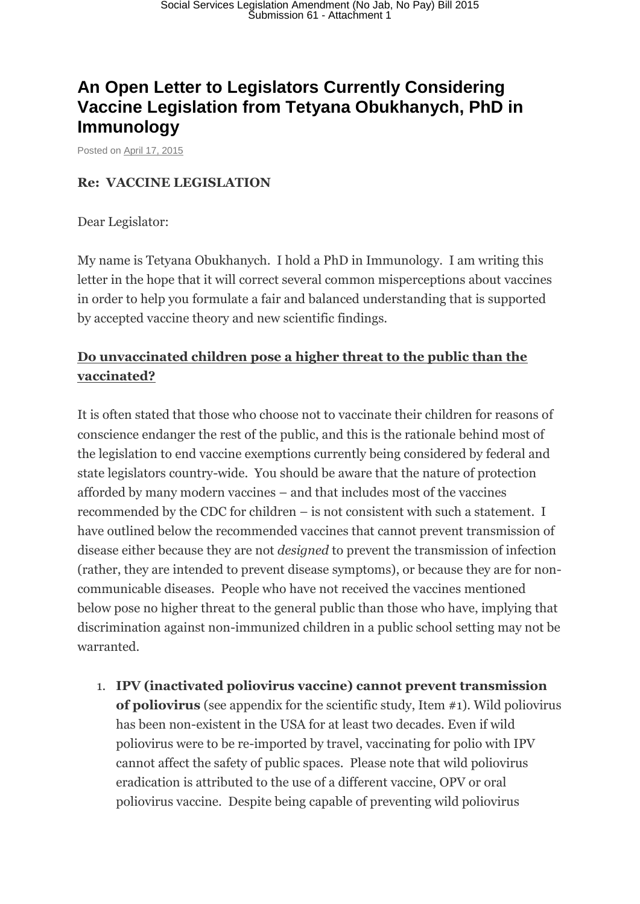# **An Open Letter to Legislators Currently Considering Vaccine Legislation from Tetyana Obukhanych, PhD in Immunology**

Posted on [April 17, 2015](http://thinkingmomsrevolution.com/an-open-letter-to-legislators-currently-considering-vaccine-legislation-from-tetyana-obukhanych-phd-in-immunology/)

#### **Re: VACCINE LEGISLATION**

Dear Legislator:

My name is Tetyana Obukhanych. I hold a PhD in Immunology. I am writing this letter in the hope that it will correct several common misperceptions about vaccines in order to help you formulate a fair and balanced understanding that is supported by accepted vaccine theory and new scientific findings.

### **Do unvaccinated children pose a higher threat to the public than the vaccinated?**

It is often stated that those who choose not to vaccinate their children for reasons of conscience endanger the rest of the public, and this is the rationale behind most of the legislation to end vaccine exemptions currently being considered by federal and state legislators country-wide. You should be aware that the nature of protection afforded by many modern vaccines – and that includes most of the vaccines recommended by the CDC for children – is not consistent with such a statement. I have outlined below the recommended vaccines that cannot prevent transmission of disease either because they are not *designed* to prevent the transmission of infection (rather, they are intended to prevent disease symptoms), or because they are for noncommunicable diseases. People who have not received the vaccines mentioned below pose no higher threat to the general public than those who have, implying that discrimination against non-immunized children in a public school setting may not be warranted.

1. **IPV (inactivated poliovirus vaccine) cannot prevent transmission of poliovirus** (see appendix for the scientific study, Item #1). Wild poliovirus has been non-existent in the USA for at least two decades. Even if wild poliovirus were to be re-imported by travel, vaccinating for polio with IPV cannot affect the safety of public spaces. Please note that wild poliovirus eradication is attributed to the use of a different vaccine, OPV or oral poliovirus vaccine. Despite being capable of preventing wild poliovirus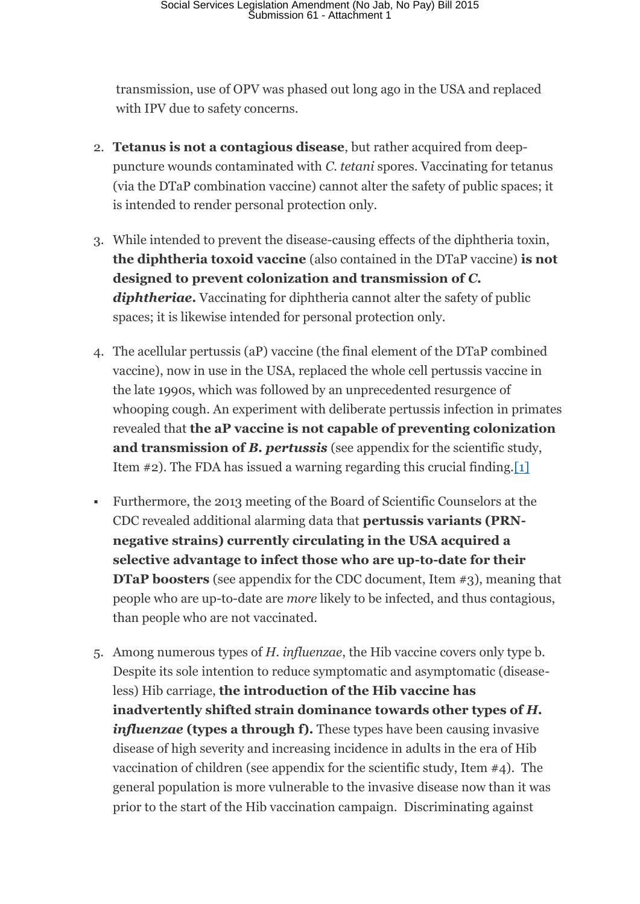transmission, use of OPV was phased out long ago in the USA and replaced with IPV due to safety concerns.

- 2. **Tetanus is not a contagious disease**, but rather acquired from deeppuncture wounds contaminated with *C. tetani* spores. Vaccinating for tetanus (via the DTaP combination vaccine) cannot alter the safety of public spaces; it is intended to render personal protection only.
- 3. While intended to prevent the disease-causing effects of the diphtheria toxin, **the diphtheria toxoid vaccine** (also contained in the DTaP vaccine) **is not designed to prevent colonization and transmission of** *C. diphtheriae***.** Vaccinating for diphtheria cannot alter the safety of public spaces; it is likewise intended for personal protection only.
- 4. The acellular pertussis (aP) vaccine (the final element of the DTaP combined vaccine), now in use in the USA, replaced the whole cell pertussis vaccine in the late 1990s, which was followed by an unprecedented resurgence of whooping cough. An experiment with deliberate pertussis infection in primates revealed that **the aP vaccine is not capable of preventing colonization and transmission of** *B. pertussis* (see appendix for the scientific study, Item #2). The FDA has issued a warning regarding this crucial finding[.\[1\]](http://thinkingmomsrevolution.com/an-open-letter-to-legislators-currently-considering-vaccine-legislation-from-tetyana-obukhanych-phd-in-immunology/#_ftn1)
- Furthermore, the 2013 meeting of the Board of Scientific Counselors at the CDC revealed additional alarming data that **pertussis variants (PRNnegative strains) currently circulating in the USA acquired a selective advantage to infect those who are up-to-date for their DTaP boosters** (see appendix for the CDC document, Item #3), meaning that people who are up-to-date are *more* likely to be infected, and thus contagious, than people who are not vaccinated.
- 5. Among numerous types of *H. influenzae*, the Hib vaccine covers only type b. Despite its sole intention to reduce symptomatic and asymptomatic (diseaseless) Hib carriage, **the introduction of the Hib vaccine has inadvertently shifted strain dominance towards other types of** *H. influenzae* **(types a through f).** These types have been causing invasive disease of high severity and increasing incidence in adults in the era of Hib vaccination of children (see appendix for the scientific study, Item #4). The general population is more vulnerable to the invasive disease now than it was prior to the start of the Hib vaccination campaign. Discriminating against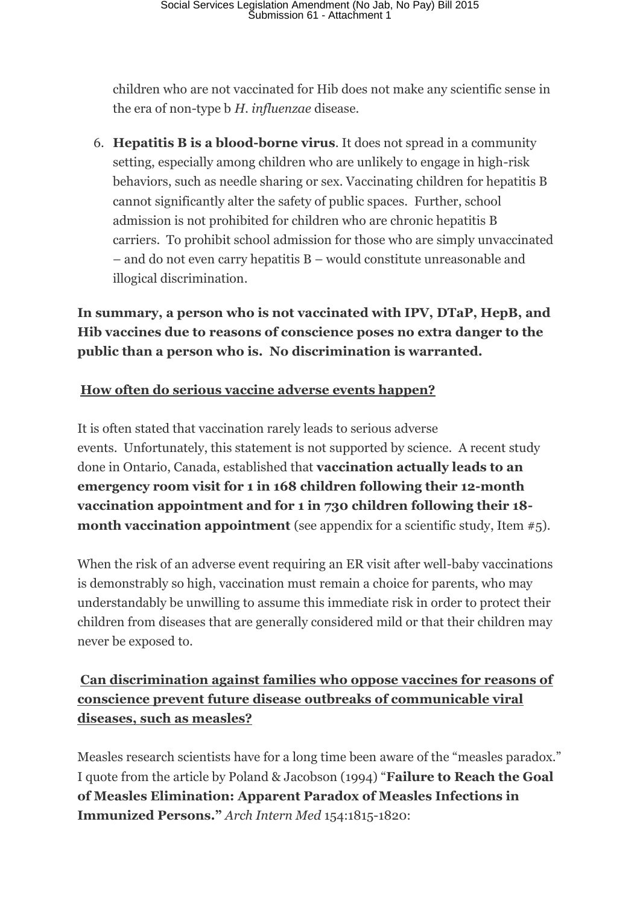children who are not vaccinated for Hib does not make any scientific sense in the era of non-type b *H. influenzae* disease.

6. **Hepatitis B is a blood-borne virus**. It does not spread in a community setting, especially among children who are unlikely to engage in high-risk behaviors, such as needle sharing or sex. Vaccinating children for hepatitis B cannot significantly alter the safety of public spaces. Further, school admission is not prohibited for children who are chronic hepatitis B carriers. To prohibit school admission for those who are simply unvaccinated – and do not even carry hepatitis B – would constitute unreasonable and illogical discrimination.

**In summary, a person who is not vaccinated with IPV, DTaP, HepB, and Hib vaccines due to reasons of conscience poses no extra danger to the public than a person who is. No discrimination is warranted.**

### **How often do serious vaccine adverse events happen?**

It is often stated that vaccination rarely leads to serious adverse events. Unfortunately, this statement is not supported by science. A recent study done in Ontario, Canada, established that **vaccination actually leads to an emergency room visit for 1 in 168 children following their 12-month vaccination appointment and for 1 in 730 children following their 18 month vaccination appointment** (see appendix for a scientific study, Item #5).

When the risk of an adverse event requiring an ER visit after well-baby vaccinations is demonstrably so high, vaccination must remain a choice for parents, who may understandably be unwilling to assume this immediate risk in order to protect their children from diseases that are generally considered mild or that their children may never be exposed to.

# **Can discrimination against families who oppose vaccines for reasons of conscience prevent future disease outbreaks of communicable viral diseases, such as measles?**

Measles research scientists have for a long time been aware of the "measles paradox." I quote from the article by Poland & Jacobson (1994) "**Failure to Reach the Goal of Measles Elimination: Apparent Paradox of Measles Infections in Immunized Persons."** *Arch Intern Med* 154:1815-1820: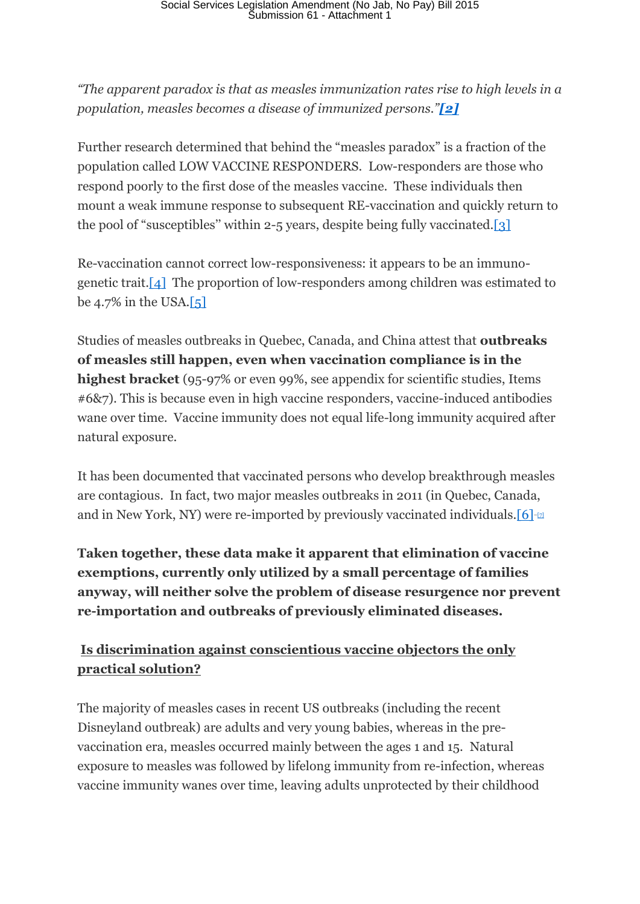*"The apparent paradox is that as measles immunization rates rise to high levels in a population, measles becomes a disease of immunized persons."[\[2\]](http://thinkingmomsrevolution.com/an-open-letter-to-legislators-currently-considering-vaccine-legislation-from-tetyana-obukhanych-phd-in-immunology/#_ftn2)*

Further research determined that behind the "measles paradox" is a fraction of the population called LOW VACCINE RESPONDERS. Low-responders are those who respond poorly to the first dose of the measles vaccine. These individuals then mount a weak immune response to subsequent RE-vaccination and quickly return to the pool of "susceptibles" within 2-5 years, despite being fully vaccinated[.\[3\]](http://thinkingmomsrevolution.com/an-open-letter-to-legislators-currently-considering-vaccine-legislation-from-tetyana-obukhanych-phd-in-immunology/#_ftn3)

Re-vaccination cannot correct low-responsiveness: it appears to be an immunogenetic trait[.\[4\]](http://thinkingmomsrevolution.com/an-open-letter-to-legislators-currently-considering-vaccine-legislation-from-tetyana-obukhanych-phd-in-immunology/#_ftn4) The proportion of low-responders among children was estimated to be 4.7% in the USA. $\left[5\right]$ 

Studies of measles outbreaks in Quebec, Canada, and China attest that **outbreaks of measles still happen, even when vaccination compliance is in the highest bracket** (95-97% or even 99%, see appendix for scientific studies, Items #6&7). This is because even in high vaccine responders, vaccine-induced antibodies wane over time. Vaccine immunity does not equal life-long immunity acquired after natural exposure.

It has been documented that vaccinated persons who develop breakthrough measles are contagious. In fact, two major measles outbreaks in 2011 (in Quebec, Canada, and in New York, NY) were re-imported by previously vaccinated individuals.  $[6]$ - $\alpha$ 

**Taken together, these data make it apparent that elimination of vaccine exemptions, currently only utilized by a small percentage of families anyway, will neither solve the problem of disease resurgence nor prevent re-importation and outbreaks of previously eliminated diseases.**

# **Is discrimination against conscientious vaccine objectors the only practical solution?**

The majority of measles cases in recent US outbreaks (including the recent Disneyland outbreak) are adults and very young babies, whereas in the prevaccination era, measles occurred mainly between the ages 1 and 15. Natural exposure to measles was followed by lifelong immunity from re-infection, whereas vaccine immunity wanes over time, leaving adults unprotected by their childhood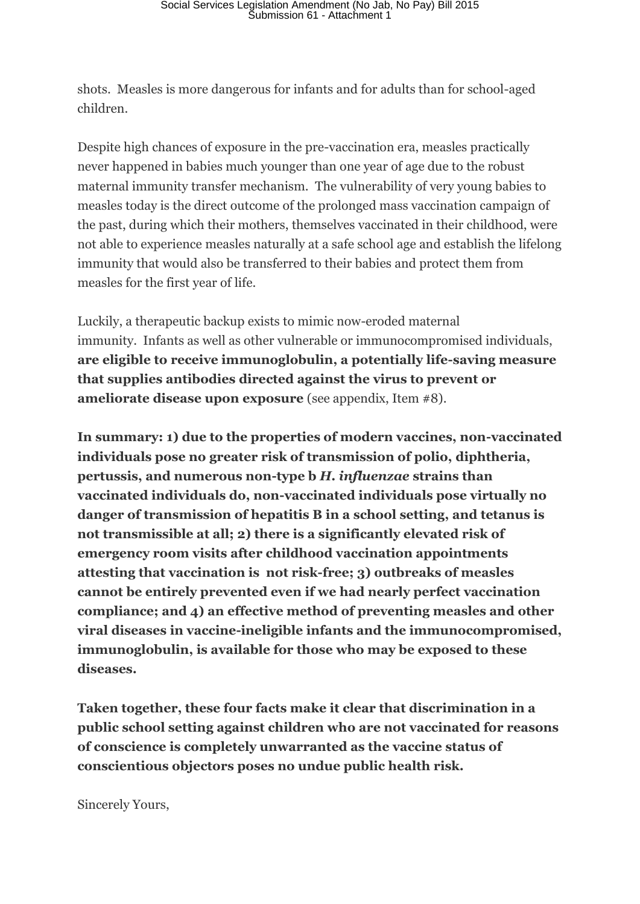shots. Measles is more dangerous for infants and for adults than for school-aged children.

Despite high chances of exposure in the pre-vaccination era, measles practically never happened in babies much younger than one year of age due to the robust maternal immunity transfer mechanism. The vulnerability of very young babies to measles today is the direct outcome of the prolonged mass vaccination campaign of the past, during which their mothers, themselves vaccinated in their childhood, were not able to experience measles naturally at a safe school age and establish the lifelong immunity that would also be transferred to their babies and protect them from measles for the first year of life.

Luckily, a therapeutic backup exists to mimic now-eroded maternal immunity. Infants as well as other vulnerable or immunocompromised individuals, **are eligible to receive immunoglobulin, a potentially life-saving measure that supplies antibodies directed against the virus to prevent or ameliorate disease upon exposure** (see appendix, Item #8).

**In summary: 1) due to the properties of modern vaccines, non-vaccinated individuals pose no greater risk of transmission of polio, diphtheria, pertussis, and numerous non-type b** *H. influenzae* **strains than vaccinated individuals do, non-vaccinated individuals pose virtually no danger of transmission of hepatitis B in a school setting, and tetanus is not transmissible at all; 2) there is a significantly elevated risk of emergency room visits after childhood vaccination appointments attesting that vaccination is not risk-free; 3) outbreaks of measles cannot be entirely prevented even if we had nearly perfect vaccination compliance; and 4) an effective method of preventing measles and other viral diseases in vaccine-ineligible infants and the immunocompromised, immunoglobulin, is available for those who may be exposed to these diseases.**

**Taken together, these four facts make it clear that discrimination in a public school setting against children who are not vaccinated for reasons of conscience is completely unwarranted as the vaccine status of conscientious objectors poses no undue public health risk.**

Sincerely Yours,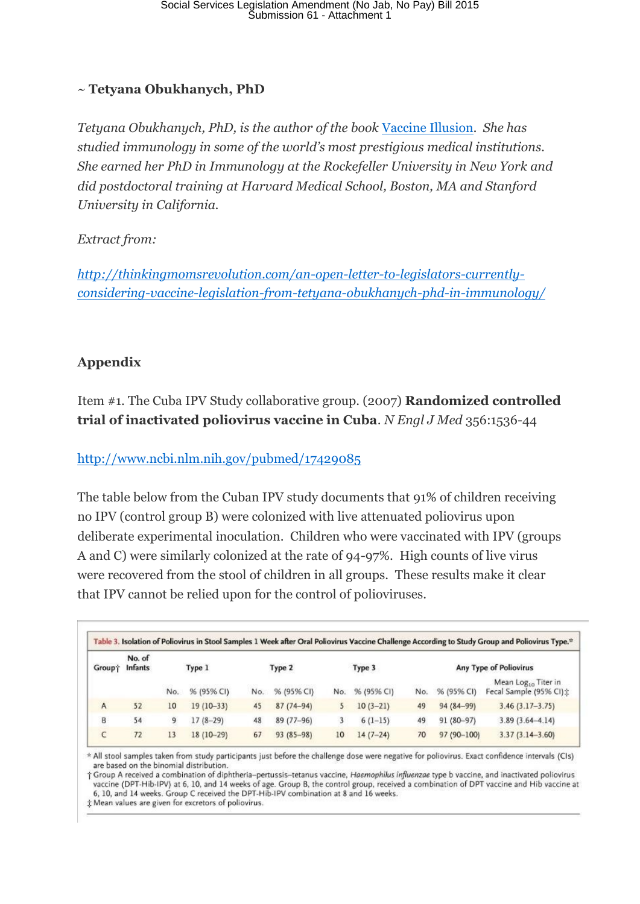#### ~ **Tetyana Obukhanych, PhD**

*Tetyana Obukhanych, PhD, is the author of the book* [Vaccine Illusion](http://www.amazon.com/dp/B007AW2CLG/?tag=thethimomre08-20)*. She has studied immunology in some of the world's most prestigious medical institutions. She earned her PhD in Immunology at the Rockefeller University in New York and did postdoctoral training at Harvard Medical School, Boston, MA and Stanford University in California.*

#### *Extract from:*

*[http://thinkingmomsrevolution.com/an-open-letter-to-legislators-currently](http://thinkingmomsrevolution.com/an-open-letter-to-legislators-currently-considering-vaccine-legislation-from-tetyana-obukhanych-phd-in-immunology/)[considering-vaccine-legislation-from-tetyana-obukhanych-phd-in-immunology/](http://thinkingmomsrevolution.com/an-open-letter-to-legislators-currently-considering-vaccine-legislation-from-tetyana-obukhanych-phd-in-immunology/)*

#### **Appendix**

Item #1. The Cuba IPV Study collaborative group. (2007) **Randomized controlled trial of inactivated poliovirus vaccine in Cuba**. *N Engl J Med* 356:1536-44

#### <http://www.ncbi.nlm.nih.gov/pubmed/17429085>

The table below from the Cuban IPV study documents that 91% of children receiving no IPV (control group B) were colonized with live attenuated poliovirus upon deliberate experimental inoculation. Children who were vaccinated with IPV (groups A and C) were similarly colonized at the rate of 94-97%. High counts of live virus were recovered from the stool of children in all groups. These results make it clear that IPV cannot be relied upon for the control of polioviruses.

| <b>Group</b> <sup>*</sup> | No. of<br><b>Infants</b> | Type 1 |             | Type 2 |               | Type 3 |            | Any Type of Poliovirus |             |                                                            |
|---------------------------|--------------------------|--------|-------------|--------|---------------|--------|------------|------------------------|-------------|------------------------------------------------------------|
|                           |                          | No.    | % (95% CI)  | No.    | % (95% CI)    | No.    | % (95% CI) | No.                    | % (95% CI)  | Mean Log <sub>10</sub> Titer in<br>Fecal Sample (95% CI) ± |
| $\overline{A}$            | 52                       | 10     | $19(10-33)$ | 45     | $87(74 - 94)$ | 5.     | $10(3-21)$ | 49                     | 94 (84-99)  | $3.46(3.17-3.75)$                                          |
| B                         | 54                       | 9      | $17(8-29)$  | 48     | 89 (77-96)    |        | $6(1-15)$  | 49                     | $91(80-97)$ | $3.89(3.64 - 4.14)$                                        |
|                           | 72                       | 13     | 18 (10-29)  | 67     | $93(85-98)$   | 10     | $14(7-24)$ | 70                     | 97 (90-100) | $3.37(3.14 - 3.60)$                                        |

\* All stool samples taken from study participants just before the challenge dose were negative for poliovirus. Exact confidence intervals (CIs) are based on the binomial distribution.

† Group A received a combination of diphtheria-pertussis-tetanus vaccine, Haemophilus influenzae type b vaccine, and inactivated poliovirus vaccine (DPT-Hib-IPV) at 6, 10, and 14 weeks of age. Group B, the control group, received a combination of DPT vaccine and Hib vaccine at 6, 10, and 14 weeks. Group C received the DPT-Hib-IPV combination at 8 and 16 weeks.

# Mean values are given for excretors of poliovirus.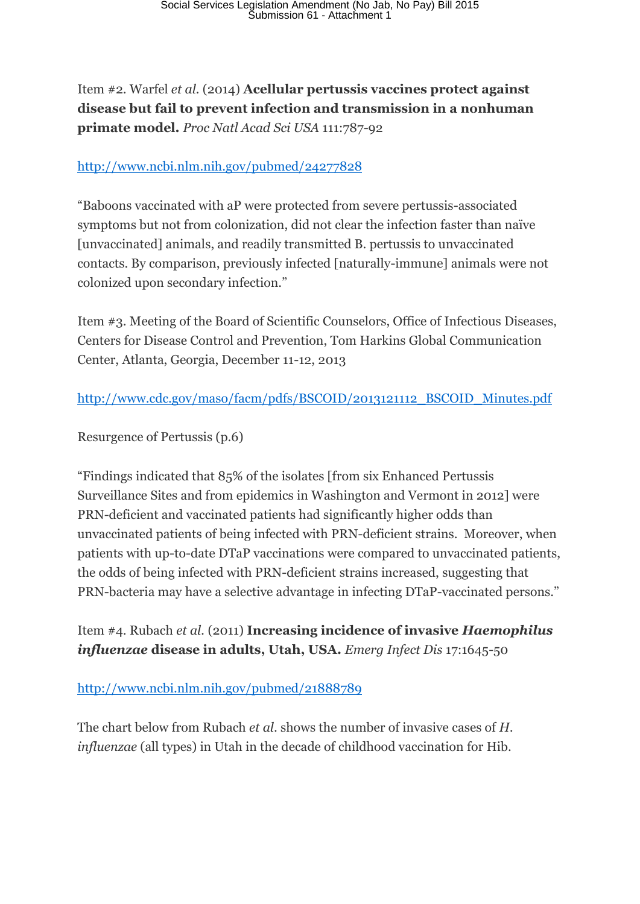Item #2. Warfel *et al.* (2014) **Acellular pertussis vaccines protect against disease but fail to prevent infection and transmission in a nonhuman primate model.** *Proc Natl Acad Sci USA* 111:787-92

### <http://www.ncbi.nlm.nih.gov/pubmed/24277828>

"Baboons vaccinated with aP were protected from severe pertussis-associated symptoms but not from colonization, did not clear the infection faster than naïve [unvaccinated] animals, and readily transmitted B. pertussis to unvaccinated contacts. By comparison, previously infected [naturally-immune] animals were not colonized upon secondary infection."

Item #3. Meeting of the Board of Scientific Counselors, Office of Infectious Diseases, Centers for Disease Control and Prevention, Tom Harkins Global Communication Center, Atlanta, Georgia, December 11-12, 2013

[http://www.cdc.gov/maso/facm/pdfs/BSCOID/2013121112\\_BSCOID\\_Minutes.pdf](http://www.cdc.gov/maso/facm/pdfs/BSCOID/2013121112_BSCOID_Minutes.pdf)

Resurgence of Pertussis (p.6)

"Findings indicated that 85% of the isolates [from six Enhanced Pertussis Surveillance Sites and from epidemics in Washington and Vermont in 2012] were PRN-deficient and vaccinated patients had significantly higher odds than unvaccinated patients of being infected with PRN-deficient strains. Moreover, when patients with up-to-date DTaP vaccinations were compared to unvaccinated patients, the odds of being infected with PRN-deficient strains increased, suggesting that PRN-bacteria may have a selective advantage in infecting DTaP-vaccinated persons."

Item #4. Rubach *et al.* (2011) **Increasing incidence of invasive** *Haemophilus influenzae* **disease in adults, Utah, USA.** *Emerg Infect Dis* 17:1645-50

### <http://www.ncbi.nlm.nih.gov/pubmed/21888789>

The chart below from Rubach *et al*. shows the number of invasive cases of *H. influenzae* (all types) in Utah in the decade of childhood vaccination for Hib.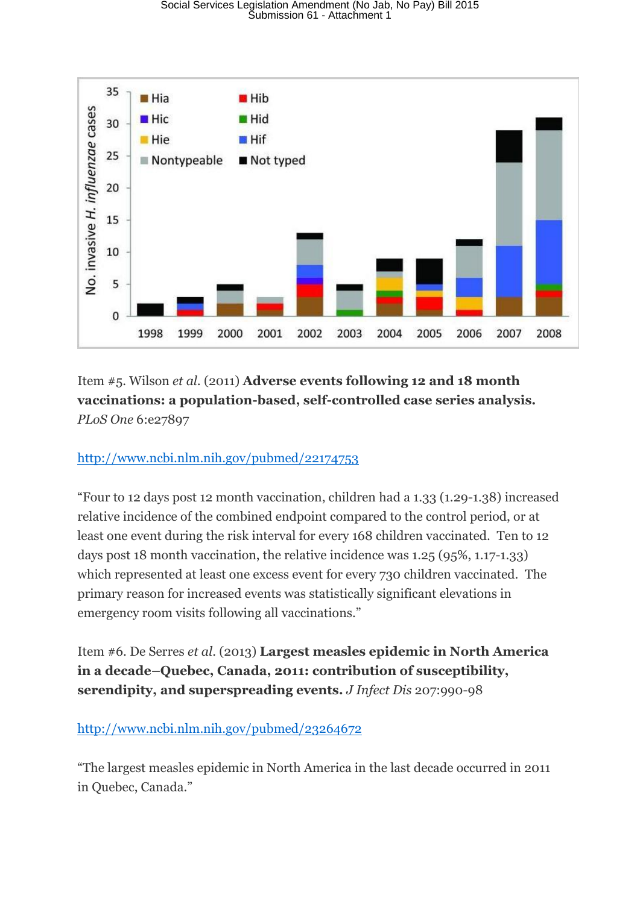

Item #5. Wilson *et al.* (2011) **Adverse events following 12 and 18 month vaccinations: a population-based, self-controlled case series analysis.**  *PLoS One* 6:e27897

#### <http://www.ncbi.nlm.nih.gov/pubmed/22174753>

"Four to 12 days post 12 month vaccination, children had a 1.33 (1.29-1.38) increased relative incidence of the combined endpoint compared to the control period, or at least one event during the risk interval for every 168 children vaccinated. Ten to 12 days post 18 month vaccination, the relative incidence was 1.25 (95%, 1.17-1.33) which represented at least one excess event for every 730 children vaccinated. The primary reason for increased events was statistically significant elevations in emergency room visits following all vaccinations."

Item #6. De Serres *et al*. (2013) **Largest measles epidemic in North America in a decade–Quebec, Canada, 2011: contribution of susceptibility, serendipity, and superspreading events.** *J Infect Dis* 207:990-98

#### <http://www.ncbi.nlm.nih.gov/pubmed/23264672>

"The largest measles epidemic in North America in the last decade occurred in 2011 in Quebec, Canada."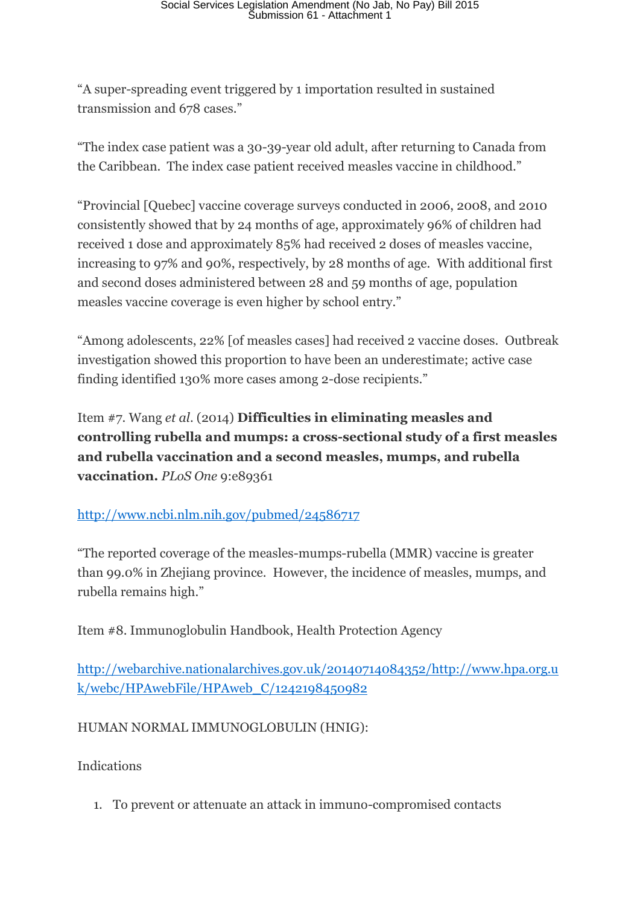"A super-spreading event triggered by 1 importation resulted in sustained transmission and 678 cases."

"The index case patient was a 30-39-year old adult, after returning to Canada from the Caribbean. The index case patient received measles vaccine in childhood."

"Provincial [Quebec] vaccine coverage surveys conducted in 2006, 2008, and 2010 consistently showed that by 24 months of age, approximately 96% of children had received 1 dose and approximately 85% had received 2 doses of measles vaccine, increasing to 97% and 90%, respectively, by 28 months of age. With additional first and second doses administered between 28 and 59 months of age, population measles vaccine coverage is even higher by school entry."

"Among adolescents, 22% [of measles cases] had received 2 vaccine doses. Outbreak investigation showed this proportion to have been an underestimate; active case finding identified 130% more cases among 2-dose recipients."

Item #7. Wang *et al*. (2014) **Difficulties in eliminating measles and controlling rubella and mumps: a cross-sectional study of a first measles and rubella vaccination and a second measles, mumps, and rubella vaccination.** *PLoS One* 9:e89361

### <http://www.ncbi.nlm.nih.gov/pubmed/24586717>

"The reported coverage of the measles-mumps-rubella (MMR) vaccine is greater than 99.0% in Zhejiang province. However, the incidence of measles, mumps, and rubella remains high."

Item #8. Immunoglobulin Handbook, Health Protection Agency

[http://webarchive.nationalarchives.gov.uk/20140714084352/http://www.hpa.org.u](http://webarchive.nationalarchives.gov.uk/20140714084352/http:/www.hpa.org.uk/webc/HPAwebFile/HPAweb_C/1242198450982) [k/webc/HPAwebFile/HPAweb\\_C/1242198450982](http://webarchive.nationalarchives.gov.uk/20140714084352/http:/www.hpa.org.uk/webc/HPAwebFile/HPAweb_C/1242198450982)

#### HUMAN NORMAL IMMUNOGLOBULIN (HNIG):

Indications

1. To prevent or attenuate an attack in immuno-compromised contacts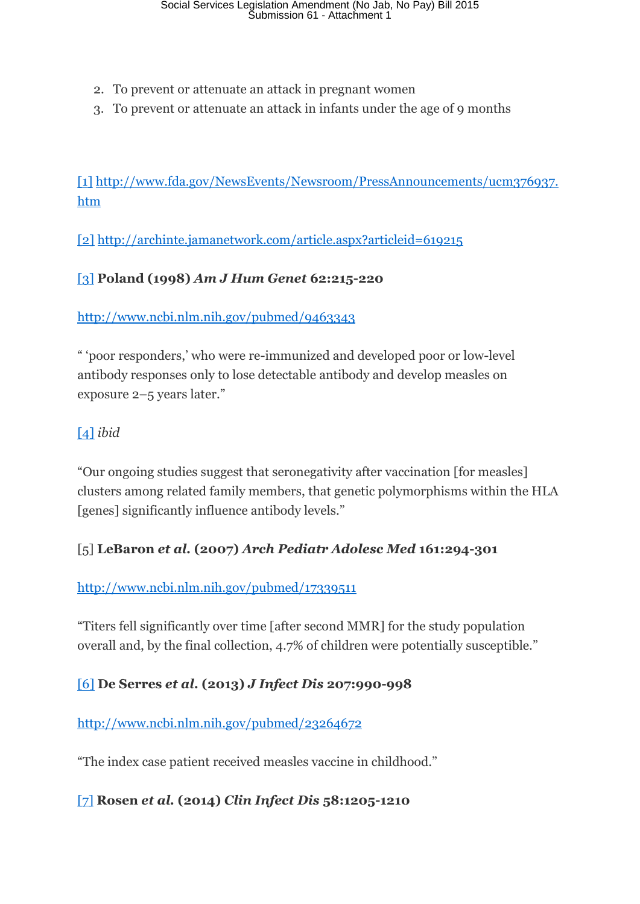- 2. To prevent or attenuate an attack in pregnant women
- 3. To prevent or attenuate an attack in infants under the age of 9 months

[\[1\]](http://thinkingmomsrevolution.com/an-open-letter-to-legislators-currently-considering-vaccine-legislation-from-tetyana-obukhanych-phd-in-immunology/#_ftnref1) [http://www.fda.gov/NewsEvents/Newsroom/PressAnnouncements/ucm376937.](http://www.fda.gov/NewsEvents/Newsroom/PressAnnouncements/ucm376937.htm) [htm](http://www.fda.gov/NewsEvents/Newsroom/PressAnnouncements/ucm376937.htm)

[\[2\]](http://thinkingmomsrevolution.com/an-open-letter-to-legislators-currently-considering-vaccine-legislation-from-tetyana-obukhanych-phd-in-immunology/#_ftnref2) <http://archinte.jamanetwork.com/article.aspx?articleid=619215>

### [\[3\]](http://thinkingmomsrevolution.com/an-open-letter-to-legislators-currently-considering-vaccine-legislation-from-tetyana-obukhanych-phd-in-immunology/#_ftnref3) **Poland (1998)** *Am J Hum Genet* **62:215-220**

#### <http://www.ncbi.nlm.nih.gov/pubmed/9463343>

" 'poor responders,' who were re-immunized and developed poor or low-level antibody responses only to lose detectable antibody and develop measles on exposure 2–5 years later."

### [\[4\]](http://thinkingmomsrevolution.com/an-open-letter-to-legislators-currently-considering-vaccine-legislation-from-tetyana-obukhanych-phd-in-immunology/#_ftnref4) *ibid*

"Our ongoing studies suggest that seronegativity after vaccination [for measles] clusters among related family members, that genetic polymorphisms within the HLA [genes] significantly influence antibody levels."

### [5] **LeBaron** *et al.* **(2007)** *Arch Pediatr Adolesc Med* **161:294-301**

#### <http://www.ncbi.nlm.nih.gov/pubmed/17339511>

"Titers fell significantly over time [after second MMR] for the study population overall and, by the final collection, 4.7% of children were potentially susceptible."

#### [\[6\]](http://thinkingmomsrevolution.com/an-open-letter-to-legislators-currently-considering-vaccine-legislation-from-tetyana-obukhanych-phd-in-immunology/#_ftnref6) **De Serres** *et al***. (2013)** *J Infect Dis* **207:990-998**

<http://www.ncbi.nlm.nih.gov/pubmed/23264672>

"The index case patient received measles vaccine in childhood."

### [\[7\]](http://thinkingmomsrevolution.com/an-open-letter-to-legislators-currently-considering-vaccine-legislation-from-tetyana-obukhanych-phd-in-immunology/#_ftnref7) **Rosen** *et al.* **(2014)** *Clin Infect Dis* **58:1205-1210**